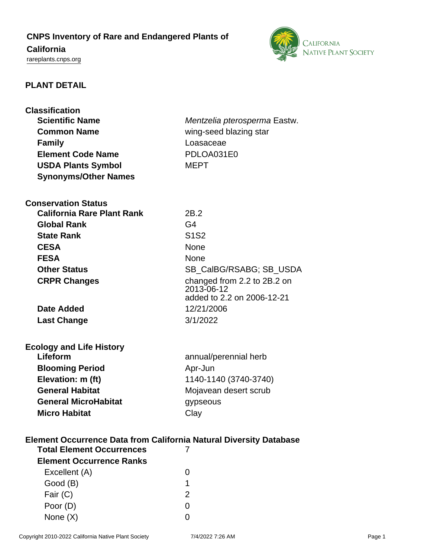# **CNPS Inventory of Rare and Endangered Plants of**

## **California**

<rareplants.cnps.org>



### **PLANT DETAIL**

| <b>Classification</b><br><b>Scientific Name</b><br><b>Common Name</b><br><b>Family</b><br><b>Element Code Name</b> | Mentzelia pterosperma Eastw.<br>wing-seed blazing star<br>Loasaceae<br>PDLOA031E0 |
|--------------------------------------------------------------------------------------------------------------------|-----------------------------------------------------------------------------------|
| <b>USDA Plants Symbol</b>                                                                                          | <b>MEPT</b>                                                                       |
| <b>Synonyms/Other Names</b>                                                                                        |                                                                                   |
|                                                                                                                    |                                                                                   |
| <b>Conservation Status</b>                                                                                         |                                                                                   |
| <b>California Rare Plant Rank</b>                                                                                  | 2B.2                                                                              |
| <b>Global Rank</b>                                                                                                 | G4                                                                                |
| <b>State Rank</b>                                                                                                  | S <sub>1</sub> S <sub>2</sub>                                                     |
| <b>CESA</b>                                                                                                        | <b>None</b>                                                                       |
| <b>FESA</b>                                                                                                        | None                                                                              |
| <b>Other Status</b>                                                                                                | SB_CalBG/RSABG; SB_USDA                                                           |
| <b>CRPR Changes</b>                                                                                                | changed from 2.2 to 2B.2 on                                                       |
|                                                                                                                    | 2013-06-12                                                                        |
|                                                                                                                    | added to 2.2 on 2006-12-21                                                        |
| <b>Date Added</b>                                                                                                  | 12/21/2006                                                                        |
| <b>Last Change</b>                                                                                                 | 3/1/2022                                                                          |
|                                                                                                                    |                                                                                   |
| <b>Ecology and Life History</b>                                                                                    |                                                                                   |
| Lifeform                                                                                                           | annual/perennial herb                                                             |
| <b>Blooming Period</b>                                                                                             | Apr-Jun                                                                           |
| Elevation: m (ft)                                                                                                  | 1140-1140 (3740-3740)                                                             |
| <b>General Habitat</b>                                                                                             | Mojavean desert scrub                                                             |
| <b>General MicroHabitat</b>                                                                                        | gypseous                                                                          |
| <b>Micro Habitat</b>                                                                                               | Clay                                                                              |
|                                                                                                                    |                                                                                   |
| <b>Element Occurrence Data from California Natural Diversity Database</b>                                          |                                                                                   |
| <b>Total Element Occurrences</b>                                                                                   | 7                                                                                 |
| <b>Element Occurrence Ranks</b>                                                                                    |                                                                                   |
| Excellent (A)                                                                                                      | 0                                                                                 |
| Good (B)                                                                                                           |                                                                                   |
|                                                                                                                    | 1                                                                                 |
| Fair (C)                                                                                                           | $\overline{2}$                                                                    |

None (X) 0